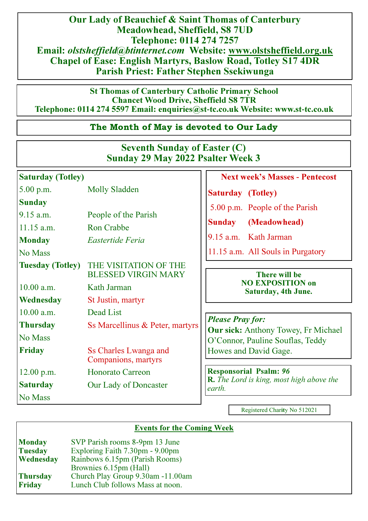Our Lady of Beauchief & Saint Thomas of Canterbury Meadowhead, Sheffield, S8 7UD Telephone: 0114 274 7257 Email: olstsheffield@btinternet.com Website: www.olstsheffield.org.uk Chapel of Ease: English Martyrs, Baslow Road, Totley S17 4DR Parish Priest: Father Stephen Ssekiwunga

St Thomas of Canterbury Catholic Primary School Chancet Wood Drive, Sheffield S8 7TR Telephone: 0114 274 5597 Email: enquiries@st**-**tc.co.uk Website: www.st**-**tc.co.uk

## The Month of May is devoted to Our Lady

# Seventh Sunday of Easter (C) Sunday 29 May 2022 Psalter Week 3

| <b>Saturday (Totley)</b> |                                                     | <b>Next week's Masses - Pentecost</b>                                          |
|--------------------------|-----------------------------------------------------|--------------------------------------------------------------------------------|
| 5.00 p.m.                | <b>Molly Sladden</b>                                | <b>Saturday (Totley)</b>                                                       |
| <b>Sunday</b>            |                                                     | 5.00 p.m. People of the Parish                                                 |
| $9.15$ a.m.              | People of the Parish                                |                                                                                |
| $11.15$ a.m.             | <b>Ron Crabbe</b>                                   | <b>Sunday</b><br>(Meadowhead)                                                  |
| <b>Monday</b>            | Eastertide Feria                                    | 9.15 a.m. Kath Jarman                                                          |
| No Mass                  |                                                     | 11.15 a.m. All Souls in Purgatory                                              |
| <b>Tuesday (Totley)</b>  | THE VISITATION OF THE<br><b>BLESSED VIRGIN MARY</b> | There will be                                                                  |
| 10.00 a.m.               | Kath Jarman                                         | <b>NO EXPOSITION on</b><br>Saturday, 4th June.                                 |
| Wednesday                | St Justin, martyr                                   |                                                                                |
| 10.00 a.m.               | Dead List                                           |                                                                                |
| <b>Thursday</b>          | Ss Marcellinus & Peter, martyrs                     | <b>Please Pray for:</b>                                                        |
| No Mass                  |                                                     | <b>Our sick:</b> Anthony Towey, Fr Michael<br>O'Connor, Pauline Souflas, Teddy |
| <b>Friday</b>            | Ss Charles Lwanga and<br>Companions, martyrs        | Howes and David Gage.                                                          |
| $12.00$ p.m.             | <b>Honorato Carreon</b>                             | <b>Responsorial Psalm: 96</b>                                                  |
| <b>Saturday</b>          | Our Lady of Doncaster                               | <b>R.</b> The Lord is king, most high above the<br>earth.                      |
| No Mass                  |                                                     |                                                                                |
|                          |                                                     | Registered Charity No 512021                                                   |

## Events for the Coming Week

| <b>Monday</b>   | SVP Parish rooms 8-9pm 13 June    |  |
|-----------------|-----------------------------------|--|
| <b>Tuesday</b>  | Exploring Faith 7.30pm - 9.00pm   |  |
| Wednesday       | Rainbows 6.15pm (Parish Rooms)    |  |
|                 | Brownies 6.15pm (Hall)            |  |
| <b>Thursday</b> | Church Play Group 9.30am -11.00am |  |
| <b>Friday</b>   | Lunch Club follows Mass at noon.  |  |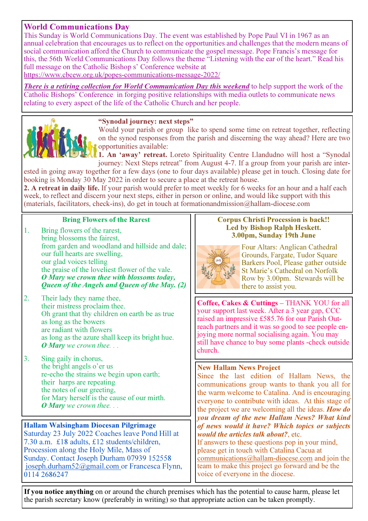# World Communications Day

This Sunday is World Communications Day. The event was established by Pope Paul VI in 1967 as an annual celebration that encourages us to reflect on the opportunities and challenges that the modern means of social communication afford the Church to communicate the gospel message. Pope Francis's message for this, the 56th World Communications Day follows the theme "Listening with the ear of the heart." Read his full message on the Catholic Bishop s' Conference website at https://www.cbcew.org.uk/popes-communications-message-2022/

There is a retiring collection for World Communication Day this weekend to help support the work of the Catholic Bishops' Conference in forging positive relationships with media outlets to communicate news relating to every aspect of the life of the Catholic Church and her people.

### "Synodal journey: next steps"

Would your parish or group like to spend some time on retreat together, reflecting on the synod responses from the parish and discerning the way ahead? Here are two opportunities available:

1. An 'away' retreat. Loreto Spirituality Centre Llandudno will host a "Synodal"

journey: Next Steps retreat" from August 4-7. If a group from your parish are interested in going away together for a few days (one to four days available) please get in touch. Closing date for booking is Monday 30 May 2022 in order to secure a place at the retreat house.

2. A retreat in daily life. If your parish would prefer to meet weekly for 6 weeks for an hour and a half each week, to reflect and discern your next steps, either in person or online, and would like support with this (materials, facilitators, check-ins), do get in touch at formationandmission@hallam-diocese.com

## Bring Flowers of the Rarest

- 1. Bring flowers of the rarest, bring blossoms the fairest, from garden and woodland and hillside and dale; our full hearts are swelling, our glad voices telling the praise of the loveliest flower of the vale. O Mary we crown thee with blossoms today, Queen of the Angels and Queen of the May. (2)
- 2. Their lady they name thee, their mistress proclaim thee. Oh grant that thy children on earth be as true as long as the bowers are radiant with flowers as long as the azure shall keep its bright hue. **O** Mary we crown thee...
- 3. Sing gaily in chorus, the bright angels o'er us re-echo the strains we begin upon earth; their harps are repeating the notes of our greeting, for Mary herself is the cause of our mirth. **O Mary** we crown thee...

Hallam Walsingham Diocesan Pilgrimage Saturday 23 July 2022 Coaches leave Pond Hill at 7.30 a.m. £18 adults, £12 students/children, Procession along the Holy Mile, Mass of Sunday. Contact Joseph Durham 07939 152558 joseph.durham52@gmail.com or Francesca Flynn, 0114 2686247

#### Corpus Christi Procession is back!! Led by Bishop Ralph Heskett. 3.00pm, Sunday 19th June



Four Altars: Anglican Cathedral Grounds, Fargate, Tudor Square Barkers Pool, Please gather outside St Marie's Cathedral on Norfolk Row by 3.00pm. Stewards will be there to assist you.

Coffee, Cakes & Cuttings – THANK YOU for all your support last week. After a 3 year gap, CCC raised an impressive £585.76 for our Parish Outreach partners and it was so good to see people enjoying more normal socialising again. You may still have chance to buy some plants -check outside church.

## New Hallam News Project

Since the last edition of Hallam News, the communications group wants to thank you all for the warm welcome to Catalina. And is encouraging everyone to contribute with ideas. At this stage of the project we are welcoming all the ideas. **How do** you dream of the new Hallam News? What kind of news would it have? Which topics or subjects would the articles talk about?, etc.

If answers to these questions pop in your mind, please get in touch with Catalina Cacua at communications@hallam-diocese.com and join the team to make this project go forward and be the voice of everyone in the diocese.

If you notice anything on or around the church premises which has the potential to cause harm, please let the parish secretary know (preferably in writing) so that appropriate action can be taken promptly.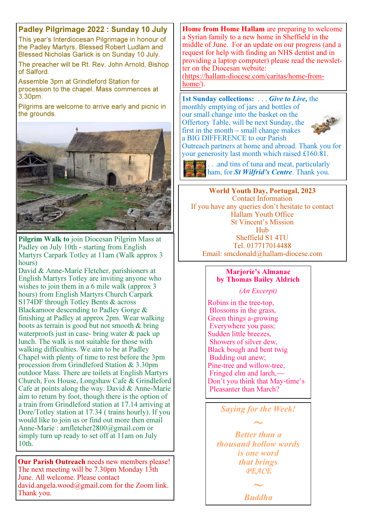## Padley Pilgrimage 2022 : Sunday 10 July

This year's Interdiocesan Pilgrimage in honour of the Padley Martyrs, Blessed Robert Ludlam and Blessed Nicholas Garlick is on Sunday 10 July.

The preacher will be Rt. Rev. John Arnold, Bishop of Salford.

Assemble 3pm at Grindleford Station for procession to the chapel. Mass commences at 3.30pm.

Pilgrims are welcome to arrive early and picnic in the grounds.



Pilgrim Walk to join Diocesan Pilgrim Mass at Padley on July 10th - starting from English Martyrs Carpark Totley at 11am (Walk approx 3 hours)

David & Anne-Marie Fletcher, parishioners at English Martyrs Totley are inviting anyone who wishes to join them in a 6 mile walk (approx 3) hours) from English Martyrs Church Carpark S174DF through Totley Bents & across Blackamoor descending to Padley Gorge & finishing at Padley at approx 2pm. Wear walking boots as terrain is good but not smooth & bring waterproofs just in case- bring water & pack up lunch. The walk is not suitable for those with walking difficulties. We aim to be at Padley Chapel with plenty of time to rest before the 3pm procession from Grindleford Station & 3.30pm outdoor Mass. There are toilets at English Martyrs Church, Fox House, Longshaw Cafe & Grindleford Cafe at points along the way. David & Anne-Marie aim to return by foot, though there is the option of a train from Grindleford station at 17.14 arriving at Dore/Totley station at 17.34 ( trains hourly). If you would like to join us or find out more then email Anne-Marie : amfletcher2800@gmail.com or simply turn up ready to set off at 11am on July 10th.

**Our Parish Outreach needs new members please!** The next meeting will be 7.30pm Monday 13th June. All welcome. Please contact david.angela.wood@gmail.com for the Zoom link. Thank you.

Home from Home Hallam are preparing to welcome a Syrian family to a new home in Sheffield in the middle of June. For an update on our progress (and a request for help with finding an NHS dentist and in providing a laptop computer) please read the newsletter on the Diocesan website:

(https://hallam-diocese.com/caritas/home-fromhome/).

1st Sunday collections: . . . Give to Live, the monthly emptying of jars and bottles of our small change into the basket on the Offertory Table, will be next Sunday, the first in the month – small change makes a BIG DIFFERENCE to our Parish



Outreach partners at home and abroad. Thank you for your generosity last month which raised £160.81.

. . .and tins of tuna and meat, particularly ham, for **St Wilfrid's Centre**. Thank you.

#### World Youth Day, Portugal, 2023 Contact Information If you have any queries don't hesitate to contact Hallam Youth Office St Vincent's Mission Hub Sheffield S1 4TU Tel. 017717014488 Email: smcdonald@hallam-diocese.com

### Marjorie's Almanac by Thomas Bailey Aldrich

(An Excerpt)

Robins in the tree-top, Blossoms in the grass, Green things a-growing Everywhere you pass; Sudden little breezes, Showers of silver dew, Black bough and bent twig Budding out anew; Pine-tree and willow-tree, Fringed elm and larch,— Don't you think that May-time's Pleasanter than March?

> Saying for the Week! . .<br>~

Better than a thousand hollow words is one word that brings **PEACE**  $\frac{1}{2}$ 

Buddha